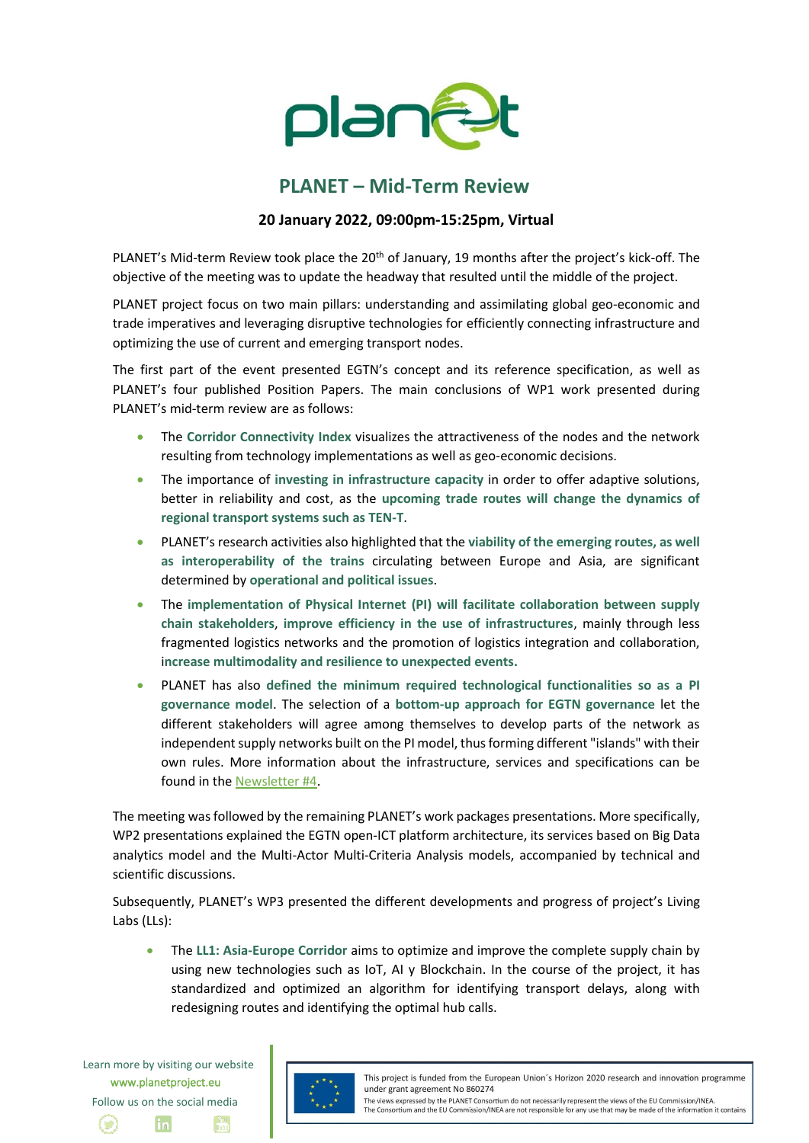

## **PLANET – Mid-Term Review**

## **20 January 2022, 09:00pm-15:25pm, Virtual**

PLANET's Mid-term Review took place the 20<sup>th</sup> of January, 19 months after the project's kick-off. The objective of the meeting was to update the headway that resulted until the middle of the project.

PLANET project focus on two main pillars: understanding and assimilating global geo-economic and trade imperatives and leveraging disruptive technologies for efficiently connecting infrastructure and optimizing the use of current and emerging transport nodes.

The first part of the event presented EGTN's concept and its reference specification, as well as PLANET's four published Position Papers. The main conclusions of WP1 work presented during PLANET's mid-term review are as follows:

- The **Corridor Connectivity Index** visualizes the attractiveness of the nodes and the network resulting from technology implementations as well as geo-economic decisions.
- The importance of **investing in infrastructure capacity** in order to offer adaptive solutions, better in reliability and cost, as the **upcoming trade routes will change the dynamics of regional transport systems such as TEN-T**.
- PLANET's research activities also highlighted that the **viability of the emerging routes, as well as interoperability of the trains** circulating between Europe and Asia, are significant determined by **operational and political issues**.
- The **implementation of Physical Internet (PI) will facilitate collaboration between supply chain stakeholders**, **improve efficiency in the use of infrastructures**, mainly through less fragmented logistics networks and the promotion of logistics integration and collaboration, i**ncrease multimodality and resilience to unexpected events.**
- PLANET has also **defined the minimum required technological functionalities so as a PI governance model**. The selection of a **bottom-up approach for EGTN governance** let the different stakeholders will agree among themselves to develop parts of the network as independent supply networks built on the PI model, thus forming different "islands" with their own rules. More information about the infrastructure, services and specifications can be found in the [Newsletter #4.](https://www.planetproject.eu/wp-content/uploads/2021/12/PLANET_Newsletter4.pdf)

The meeting was followed by the remaining PLANET's work packages presentations. More specifically, WP2 presentations explained the EGTN open-ICT platform architecture, its services based on Big Data analytics model and the Multi-Actor Multi-Criteria Analysis models, accompanied by technical and scientific discussions.

Subsequently, PLANET's WP3 presented the different developments and progress of project's Living Labs (LLs):

• The **LL1: Asia-Europe Corridor** aims to optimize and improve the complete supply chain by using new technologies such as IoT, AI y Blockchain. In the course of the project, it has standardized and optimized an algorithm for identifying transport delays, along with redesigning routes and identifying the optimal hub calls.

Learn more by visiting our website www.planetproject.eu Follow us on the social media in



This project is funded from the European Union's Horizon 2020 research and innovation programme under grant agreement No 860274

The views expressed by the PLANET Consortium do not necessarily represent the views of the EU Commission/INEA The Consortium and the EU Commission/INEA are not responsible for any use that may be made of the information it contains